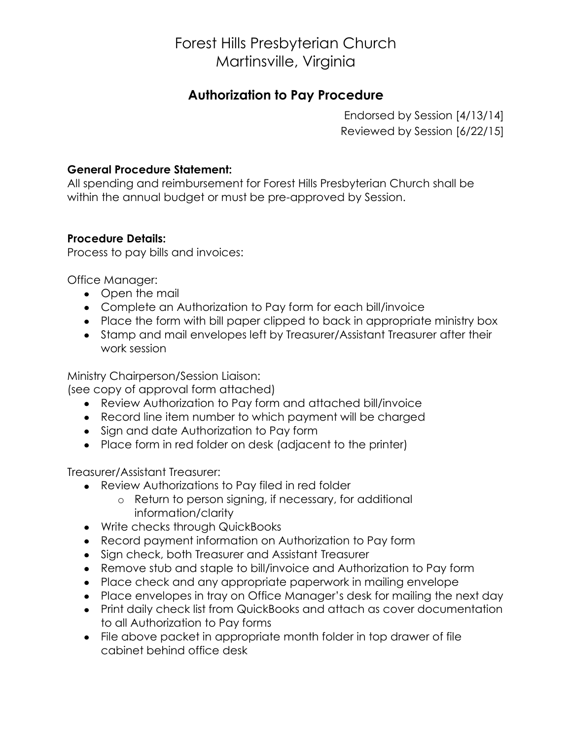# Forest Hills Presbyterian Church Martinsville, Virginia

### **Authorization to Pay Procedure**

Endorsed by Session [4/13/14] Reviewed by Session [6/22/15]

#### **General Procedure Statement:**

All spending and reimbursement for Forest Hills Presbyterian Church shall be within the annual budget or must be pre-approved by Session.

#### **Procedure Details:**

Process to pay bills and invoices:

Office Manager:

- Open the mail
- Complete an Authorization to Pay form for each bill/invoice
- Place the form with bill paper clipped to back in appropriate ministry box
- Stamp and mail envelopes left by Treasurer/Assistant Treasurer after their work session

Ministry Chairperson/Session Liaison:

(see copy of approval form attached)

- Review Authorization to Pay form and attached bill/invoice
- Record line item number to which payment will be charged
- Sign and date Authorization to Pay form
- Place form in red folder on desk (adjacent to the printer)

Treasurer/Assistant Treasurer:

- Review Authorizations to Pay filed in red folder
	- o Return to person signing, if necessary, for additional information/clarity
- Write checks through QuickBooks
- Record payment information on Authorization to Pay form
- Sign check, both Treasurer and Assistant Treasurer
- Remove stub and staple to bill/invoice and Authorization to Pay form
- Place check and any appropriate paperwork in mailing envelope
- Place envelopes in tray on Office Manager's desk for mailing the next day
- Print daily check list from QuickBooks and attach as cover documentation to all Authorization to Pay forms
- File above packet in appropriate month folder in top drawer of file cabinet behind office desk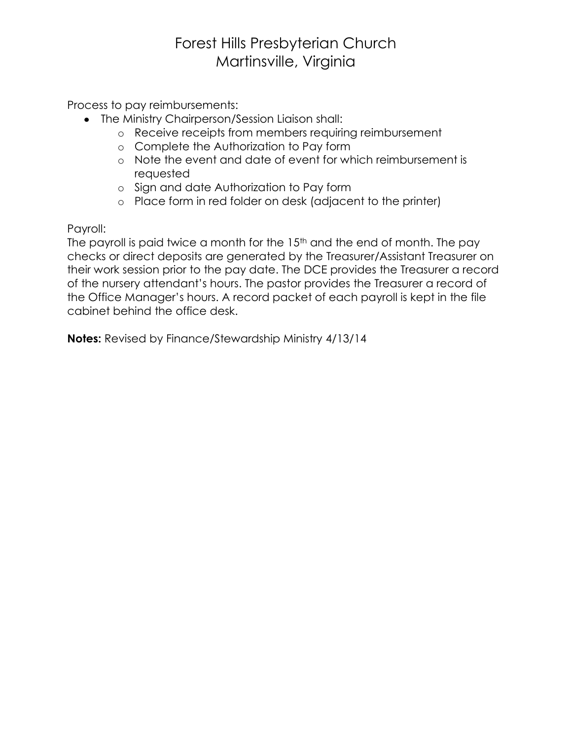# Forest Hills Presbyterian Church Martinsville, Virginia

Process to pay reimbursements:

- The Ministry Chairperson/Session Liaison shall:
	- o Receive receipts from members requiring reimbursement
	- o Complete the Authorization to Pay form
	- o Note the event and date of event for which reimbursement is requested
	- o Sign and date Authorization to Pay form
	- o Place form in red folder on desk (adjacent to the printer)

Payroll:

The payroll is paid twice a month for the 15<sup>th</sup> and the end of month. The pay checks or direct deposits are generated by the Treasurer/Assistant Treasurer on their work session prior to the pay date. The DCE provides the Treasurer a record of the nursery attendant's hours. The pastor provides the Treasurer a record of the Office Manager's hours. A record packet of each payroll is kept in the file cabinet behind the office desk.

**Notes:** Revised by Finance/Stewardship Ministry 4/13/14